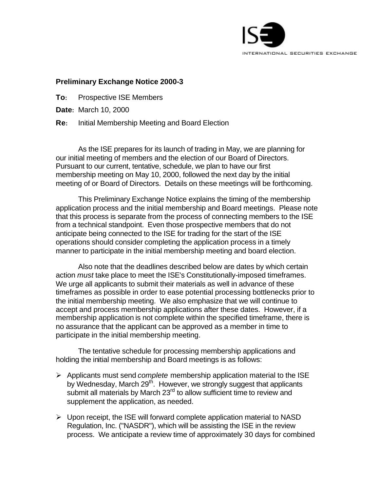

## **Preliminary Exchange Notice 2000-3**

- **To:** Prospective ISE Members
- **Date:** March 10, 2000
- **Re:** Initial Membership Meeting and Board Election

As the ISE prepares for its launch of trading in May, we are planning for our initial meeting of members and the election of our Board of Directors. Pursuant to our current, tentative, schedule, we plan to have our first membership meeting on May 10, 2000, followed the next day by the initial meeting of or Board of Directors. Details on these meetings will be forthcoming.

This Preliminary Exchange Notice explains the timing of the membership application process and the initial membership and Board meetings. Please note that this process is separate from the process of connecting members to the ISE from a technical standpoint. Even those prospective members that do not anticipate being connected to the ISE for trading for the start of the ISE operations should consider completing the application process in a timely manner to participate in the initial membership meeting and board election.

Also note that the deadlines described below are dates by which certain action *must* take place to meet the ISE's Constitutionally-imposed timeframes. We urge all applicants to submit their materials as well in advance of these timeframes as possible in order to ease potential processing bottlenecks prior to the initial membership meeting. We also emphasize that we will continue to accept and process membership applications after these dates. However, if a membership application is not complete within the specified timeframe, there is no assurance that the applicant can be approved as a member in time to participate in the initial membership meeting.

The tentative schedule for processing membership applications and holding the initial membership and Board meetings is as follows:

- ÿ Applicants must send *complete* membership application material to the ISE by Wednesday, March 29<sup>th</sup>. However, we strongly suggest that applicants submit all materials by March 23<sup>rd</sup> to allow sufficient time to review and supplement the application, as needed.
- $\triangleright$  Upon receipt, the ISE will forward complete application material to NASD Regulation, Inc. ("NASDR"), which will be assisting the ISE in the review process. We anticipate a review time of approximately 30 days for combined